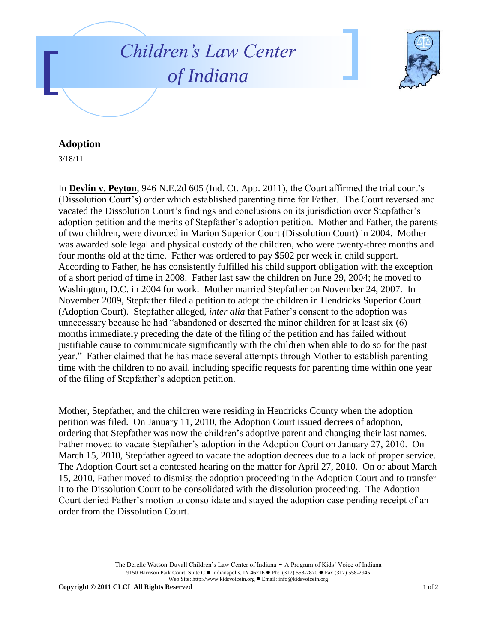



## **Adoption**

3/18/11

In **Devlin v. Peyton**, 946 N.E.2d 605 (Ind. Ct. App. 2011), the Court affirmed the trial court's (Dissolution Court's) order which established parenting time for Father. The Court reversed and vacated the Dissolution Court's findings and conclusions on its jurisdiction over Stepfather's adoption petition and the merits of Stepfather's adoption petition. Mother and Father, the parents of two children, were divorced in Marion Superior Court (Dissolution Court) in 2004. Mother was awarded sole legal and physical custody of the children, who were twenty-three months and four months old at the time. Father was ordered to pay \$502 per week in child support. According to Father, he has consistently fulfilled his child support obligation with the exception of a short period of time in 2008. Father last saw the children on June 29, 2004; he moved to Washington, D.C. in 2004 for work. Mother married Stepfather on November 24, 2007. In November 2009, Stepfather filed a petition to adopt the children in Hendricks Superior Court (Adoption Court). Stepfather alleged, *inter alia* that Father's consent to the adoption was unnecessary because he had "abandoned or deserted the minor children for at least six (6) months immediately preceding the date of the filing of the petition and has failed without justifiable cause to communicate significantly with the children when able to do so for the past year." Father claimed that he has made several attempts through Mother to establish parenting time with the children to no avail, including specific requests for parenting time within one year of the filing of Stepfather's adoption petition.

Mother, Stepfather, and the children were residing in Hendricks County when the adoption petition was filed. On January 11, 2010, the Adoption Court issued decrees of adoption, ordering that Stepfather was now the children's adoptive parent and changing their last names. Father moved to vacate Stepfather's adoption in the Adoption Court on January 27, 2010. On March 15, 2010, Stepfather agreed to vacate the adoption decrees due to a lack of proper service. The Adoption Court set a contested hearing on the matter for April 27, 2010. On or about March 15, 2010, Father moved to dismiss the adoption proceeding in the Adoption Court and to transfer it to the Dissolution Court to be consolidated with the dissolution proceeding. The Adoption Court denied Father's motion to consolidate and stayed the adoption case pending receipt of an order from the Dissolution Court.

> The Derelle Watson-Duvall Children's Law Center of Indiana - A Program of Kids' Voice of Indiana 9150 Harrison Park Court, Suite C · Indianapolis, IN 46216 · Ph: (317) 558-2870 · Fax (317) 558-2945 Web Site: http://www.kidsvoicein.org · Email: info@kidsvoicein.org